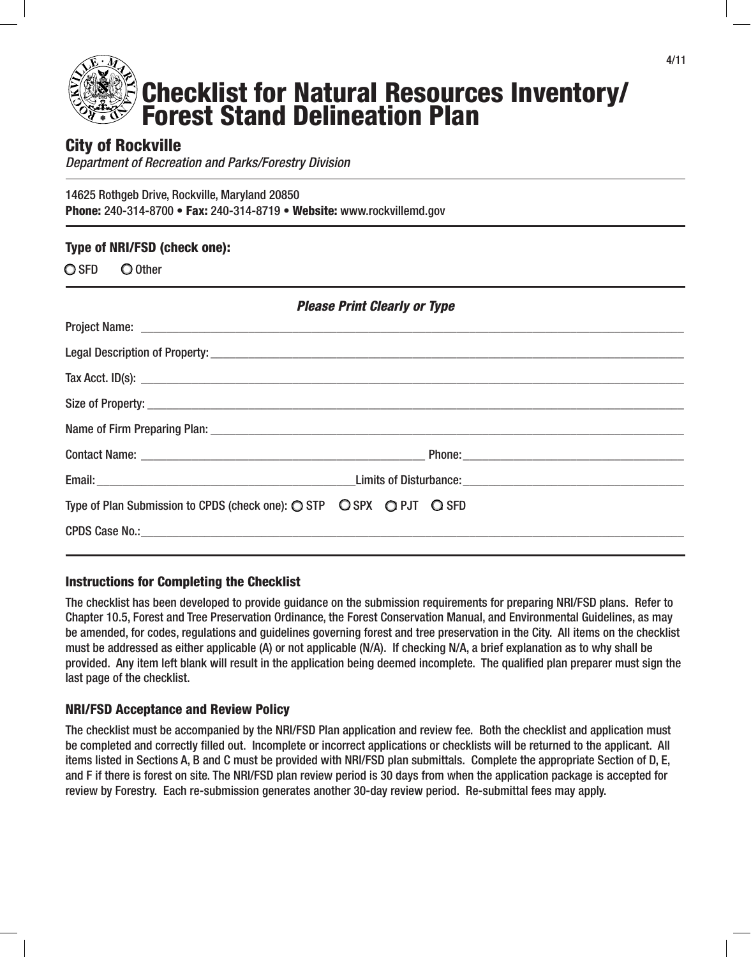

# City of Rockville

*Department of Recreation and Parks/Forestry Division*

14625 Rothgeb Drive, Rockville, Maryland 20850 Phone: 240-314-8700 • Fax: 240-314-8719 • Website: www.rockvillemd.gov

## Type of NRI/FSD (check one):

O SFD O Other

| <b>Please Print Clearly or Type</b>                                                                      |                                  |  |
|----------------------------------------------------------------------------------------------------------|----------------------------------|--|
|                                                                                                          |                                  |  |
|                                                                                                          |                                  |  |
|                                                                                                          | Tax Acct. ID(s): $\qquad \qquad$ |  |
|                                                                                                          |                                  |  |
|                                                                                                          |                                  |  |
|                                                                                                          |                                  |  |
|                                                                                                          |                                  |  |
| Type of Plan Submission to CPDS (check one): $\bigcirc$ STP $\bigcirc$ SPX $\bigcirc$ PJT $\bigcirc$ SFD |                                  |  |
|                                                                                                          |                                  |  |
|                                                                                                          |                                  |  |

## Instructions for Completing the Checklist

The checklist has been developed to provide guidance on the submission requirements for preparing NRI/FSD plans. Refer to Chapter 10.5, Forest and Tree Preservation Ordinance, the Forest Conservation Manual, and Environmental Guidelines, as may be amended, for codes, regulations and guidelines governing forest and tree preservation in the City. All items on the checklist must be addressed as either applicable (A) or not applicable (N/A). If checking N/A, a brief explanation as to why shall be provided. Any item left blank will result in the application being deemed incomplete. The qualified plan preparer must sign the last page of the checklist.

#### NRI/FSD Acceptance and Review Policy

The checklist must be accompanied by the NRI/FSD Plan application and review fee. Both the checklist and application must be completed and correctly filled out. Incomplete or incorrect applications or checklists will be returned to the applicant. All items listed in Sections A, B and C must be provided with NRI/FSD plan submittals. Complete the appropriate Section of D, E, and F if there is forest on site. The NRI/FSD plan review period is 30 days from when the application package is accepted for review by Forestry. Each re-submission generates another 30-day review period. Re-submittal fees may apply.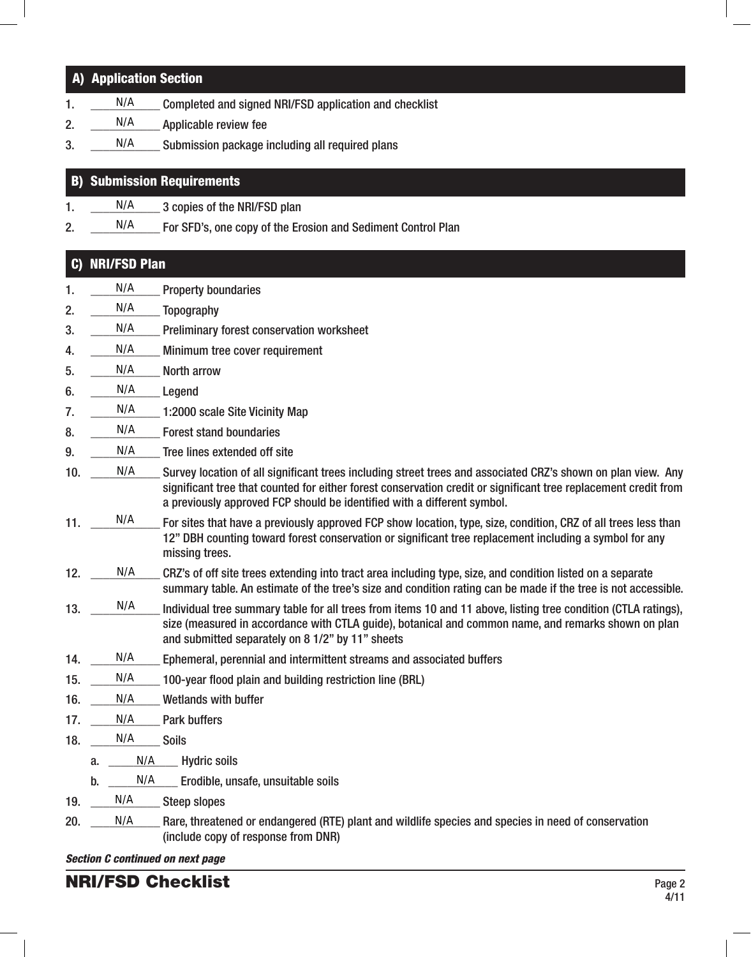#### *Section C continued on next page* A) Application Section  $1.$  N/A Completed and signed NRI/FSD application and checklist 2.  $N/A$  Applicable review fee  $3. \quad \_$  N/A  $\_$  Submission package including all required plans B) Submission Requirements 1.  $N/A$  3 copies of the NRI/FSD plan 2.  $\frac{N}{A}$  For SFD's, one copy of the Erosion and Sediment Control Plan C) NRI/FSD Plan 1.  $N/A$  Property boundaries 2.  $N/A$  Topography 3.  $\frac{N}{A}$  Preliminary forest conservation worksheet 4. N/A Minimum tree cover requirement 5. N/A North arrow 6.  $N/A$  Legend 7.  $N/A$  1:2000 scale Site Vicinity Map 8. N/A Forest stand boundaries  $9.$  N/A Tree lines extended off site 10. N/A Survey location of all significant trees including street trees and associated CRZ's shown on plan view. Any significant tree that counted for either forest conservation credit or significant tree replacement credit from a previously approved FCP should be identified with a different symbol.  $11.$  N/A For sites that have a previously approved FCP show location, type, size, condition, CRZ of all trees less than 12" DBH counting toward forest conservation or significant tree replacement including a symbol for any missing trees. 12. N/A CRZ's of off site trees extending into tract area including type, size, and condition listed on a separate summary table. An estimate of the tree's size and condition rating can be made if the tree is not accessible. 13. N/A Individual tree summary table for all trees from items 10 and 11 above, listing tree condition (CTLA ratings), size (measured in accordance with CTLA guide), botanical and common name, and remarks shown on plan and submitted separately on 8 1/2" by 11" sheets 14. N/A Ephemeral, perennial and intermittent streams and associated buffers 15. N/A 100-year flood plain and building restriction line (BRL) 16. N/A Wetlands with buffer 17. N/A Park buffers 18.  $N/A$  Soils a. N/A Hydric soils  $b.$  N/A Erodible, unsafe, unsuitable soils 19. N/A Steep slopes 20. N/A Rare, threatened or endangered (RTE) plant and wildlife species and species in need of conservation (include copy of response from DNR) N/A N/A N/A N/A N/A N/A N/A N/A N/A N/A N/A<br>N/A<br>N/A<br>N/A<br>N/A  $N/A$ N/A<br>N/A<br>N/A<br>N/A N/A N/A N/A N/A N/A N/A N/A

# NRI/FSD Checklist Page 2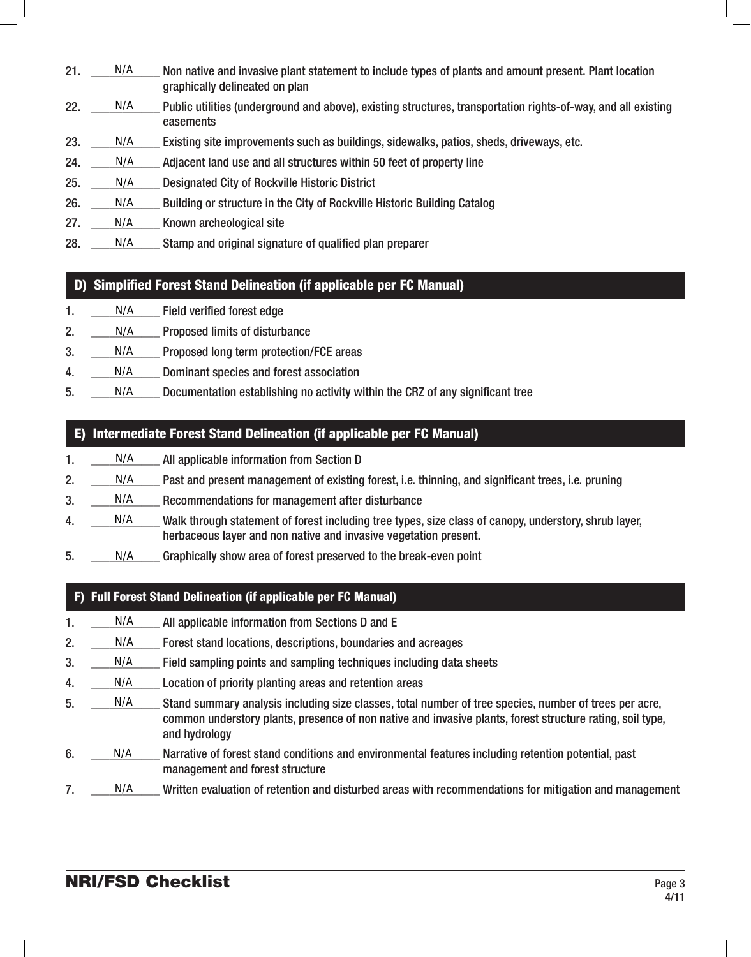- $21.$  N/A Non native and invasive plant statement to include types of plants and amount present. Plant location graphically delineated on plan N/A
- 22. N/A Public utilities (underground and above), existing structures, transportation rights-of-way, and all existing easements N/A
- 23.  $\text{N/A}$  Existing site improvements such as buildings, sidewalks, patios, sheds, driveways, etc. N/A
- 24. N/A Adjacent land use and all structures within 50 feet of property line N/A
- 25. N/A Designated City of Rockville Historic District N/A
- 26. N/A Building or structure in the City of Rockville Historic Building Catalog N/A
- 27. N/A Known archeological site N/A
- 28.  $\frac{N}{A}$  Stamp and original signature of qualified plan preparer N/A

## D) Simplified Forest Stand Delineation (if applicable per FC Manual)

- 1. N/A Field verified forest edge N/A
- 2. N/A Proposed limits of disturbance N/A
- 3. \_\_\_\_\_ N/A \_\_\_\_\_ Proposed long term protection/FCE areas N/A
- 4. N/A Dominant species and forest association N/A
- 5. N/A Documentation establishing no activity within the CRZ of any significant tree N/A

## E) Intermediate Forest Stand Delineation (if applicable per FC Manual)

- 1.  $\frac{N}{A}$  All applicable information from Section D N/A
- 2. N/A Past and present management of existing forest, i.e. thinning, and significant trees, i.e. pruning N/A
- 3. N/A Recommendations for management after disturbance N/A
- 4. Walk through statement of forest including tree types, size class of canopy, understory, shrub layer, herbaceous layer and non native and invasive vegetation present. N/A
- 5. N/A Graphically show area of forest preserved to the break-even point N/A

## F) Full Forest Stand Delineation (if applicable per FC Manual)

- 1. N/A All applicable information from Sections D and E N/A
- 2. \_\_\_\_\_ N/A \_\_\_\_ Forest stand locations, descriptions, boundaries and acreages N/A
- 3. N/A Field sampling points and sampling techniques including data sheets N/A
- 4. N/A Location of priority planting areas and retention areas N/A
- 5. N/A Stand summary analysis including size classes, total number of tree species, number of trees per acre, common understory plants, presence of non native and invasive plants, forest structure rating, soil type, and hydrology N/A
- 6.  $\Box$  N/A Narrative of forest stand conditions and environmental features including retention potential, past management and forest structure N/A
- 7. Written evaluation of retention and disturbed areas with recommendations for mitigation and management N/A